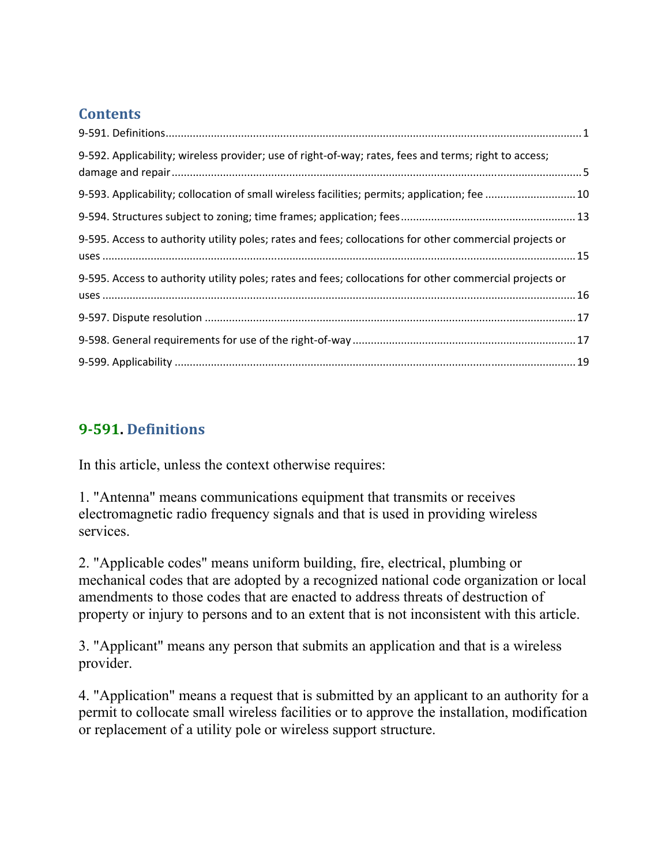#### **Contents**

| 9-592. Applicability; wireless provider; use of right-of-way; rates, fees and terms; right to access;   |  |
|---------------------------------------------------------------------------------------------------------|--|
| 9-593. Applicability; collocation of small wireless facilities; permits; application; fee 10            |  |
|                                                                                                         |  |
| 9-595. Access to authority utility poles; rates and fees; collocations for other commercial projects or |  |
| 9-595. Access to authority utility poles; rates and fees; collocations for other commercial projects or |  |
|                                                                                                         |  |
|                                                                                                         |  |
|                                                                                                         |  |

#### **9‐591. Definitions**

In this article, unless the context otherwise requires:

1. "Antenna" means communications equipment that transmits or receives electromagnetic radio frequency signals and that is used in providing wireless services.

2. "Applicable codes" means uniform building, fire, electrical, plumbing or mechanical codes that are adopted by a recognized national code organization or local amendments to those codes that are enacted to address threats of destruction of property or injury to persons and to an extent that is not inconsistent with this article.

3. "Applicant" means any person that submits an application and that is a wireless provider.

4. "Application" means a request that is submitted by an applicant to an authority for a permit to collocate small wireless facilities or to approve the installation, modification or replacement of a utility pole or wireless support structure.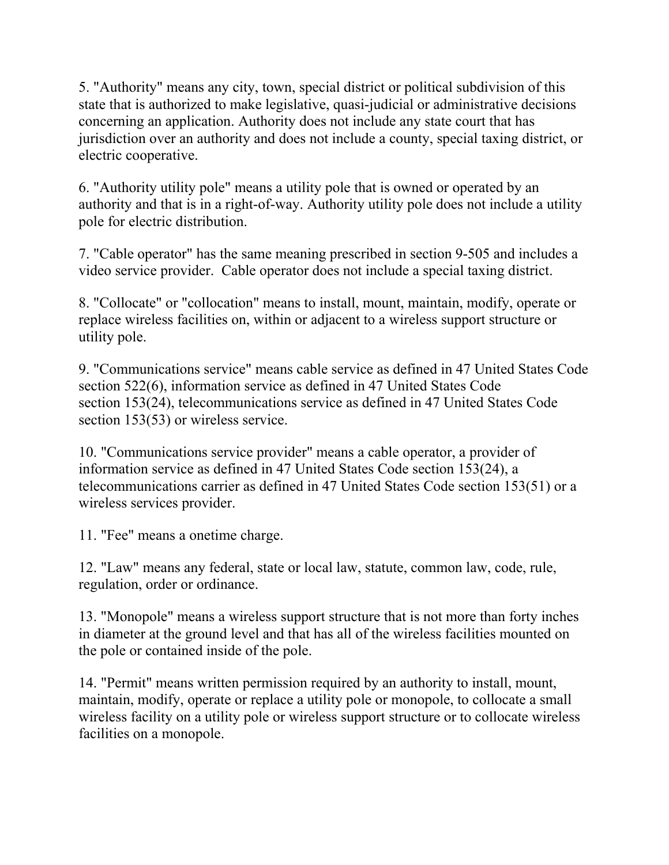5. "Authority" means any city, town, special district or political subdivision of this state that is authorized to make legislative, quasi-judicial or administrative decisions concerning an application. Authority does not include any state court that has jurisdiction over an authority and does not include a county, special taxing district, or electric cooperative.

6. "Authority utility pole" means a utility pole that is owned or operated by an authority and that is in a right-of-way. Authority utility pole does not include a utility pole for electric distribution.

7. "Cable operator" has the same meaning prescribed in section 9-505 and includes a video service provider. Cable operator does not include a special taxing district.

8. "Collocate" or "collocation" means to install, mount, maintain, modify, operate or replace wireless facilities on, within or adjacent to a wireless support structure or utility pole.

9. "Communications service" means cable service as defined in 47 United States Code section 522(6), information service as defined in 47 United States Code section 153(24), telecommunications service as defined in 47 United States Code section 153(53) or wireless service.

10. "Communications service provider" means a cable operator, a provider of information service as defined in 47 United States Code section 153(24), a telecommunications carrier as defined in 47 United States Code section 153(51) or a wireless services provider.

11. "Fee" means a onetime charge.

12. "Law" means any federal, state or local law, statute, common law, code, rule, regulation, order or ordinance.

13. "Monopole" means a wireless support structure that is not more than forty inches in diameter at the ground level and that has all of the wireless facilities mounted on the pole or contained inside of the pole.

14. "Permit" means written permission required by an authority to install, mount, maintain, modify, operate or replace a utility pole or monopole, to collocate a small wireless facility on a utility pole or wireless support structure or to collocate wireless facilities on a monopole.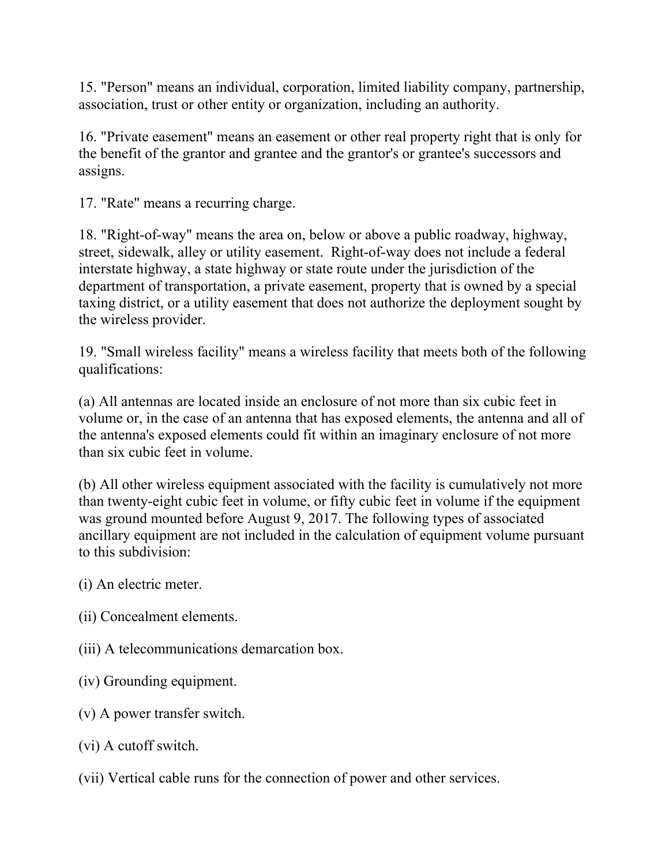15. "Person" means an individual, corporation, limited liability company, partnership, association, trust or other entity or organization, including an authority.

16. "Private easement" means an easement or other real property right that is only for the benefit of the grantor and grantee and the grantor's or grantee's successors and assigns.

17. "Rate" means a recurring charge.

18. "Right-of-way" means the area on, below or above a public roadway, highway, street, sidewalk, alley or utility easement. Right-of-way does not include a federal interstate highway, a state highway or state route under the jurisdiction of the department of transportation, a private easement, property that is owned by a special taxing district, or a utility easement that does not authorize the deployment sought by the wireless provider.

19. "Small wireless facility" means a wireless facility that meets both of the following qualifications:

(a) All antennas are located inside an enclosure of not more than six cubic feet in volume or, in the case of an antenna that has exposed elements, the antenna and all of the antenna's exposed elements could fit within an imaginary enclosure of not more than six cubic feet in volume.

(b) All other wireless equipment associated with the facility is cumulatively not more than twenty-eight cubic feet in volume, or fifty cubic feet in volume if the equipment was ground mounted before August 9, 2017. The following types of associated ancillary equipment are not included in the calculation of equipment volume pursuant to this subdivision:

(i) An electric meter.

- (ii) Concealment elements.
- (iii) A telecommunications demarcation box.
- (iv) Grounding equipment.
- (v) A power transfer switch.
- (vi) A cutoff switch.
- (vii) Vertical cable runs for the connection of power and other services.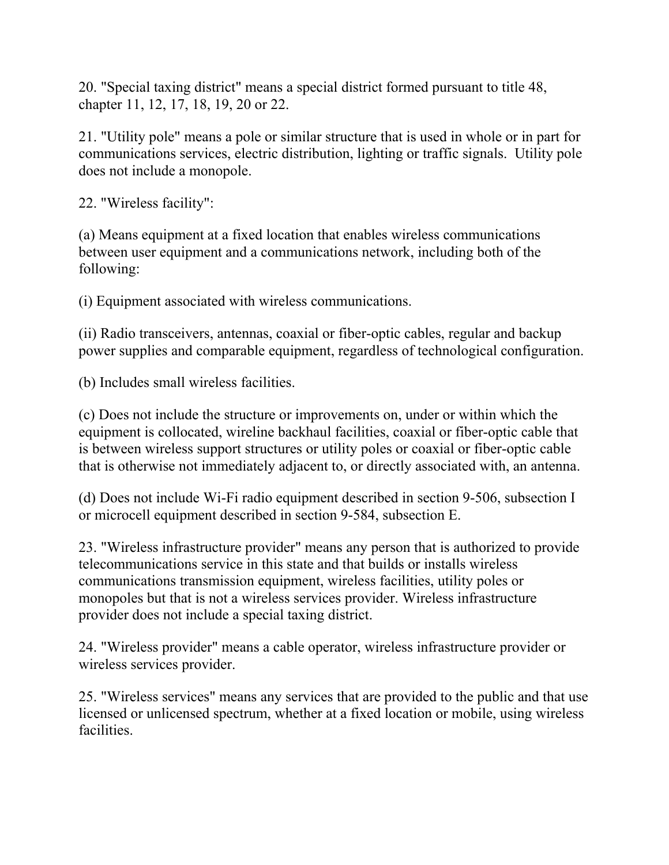20. "Special taxing district" means a special district formed pursuant to title 48, chapter 11, 12, 17, 18, 19, 20 or 22.

21. "Utility pole" means a pole or similar structure that is used in whole or in part for communications services, electric distribution, lighting or traffic signals. Utility pole does not include a monopole.

22. "Wireless facility":

(a) Means equipment at a fixed location that enables wireless communications between user equipment and a communications network, including both of the following:

(i) Equipment associated with wireless communications.

(ii) Radio transceivers, antennas, coaxial or fiber-optic cables, regular and backup power supplies and comparable equipment, regardless of technological configuration.

(b) Includes small wireless facilities.

(c) Does not include the structure or improvements on, under or within which the equipment is collocated, wireline backhaul facilities, coaxial or fiber-optic cable that is between wireless support structures or utility poles or coaxial or fiber-optic cable that is otherwise not immediately adjacent to, or directly associated with, an antenna.

(d) Does not include Wi-Fi radio equipment described in section 9-506, subsection I or microcell equipment described in section 9-584, subsection E.

23. "Wireless infrastructure provider" means any person that is authorized to provide telecommunications service in this state and that builds or installs wireless communications transmission equipment, wireless facilities, utility poles or monopoles but that is not a wireless services provider. Wireless infrastructure provider does not include a special taxing district.

24. "Wireless provider" means a cable operator, wireless infrastructure provider or wireless services provider.

25. "Wireless services" means any services that are provided to the public and that use licensed or unlicensed spectrum, whether at a fixed location or mobile, using wireless facilities.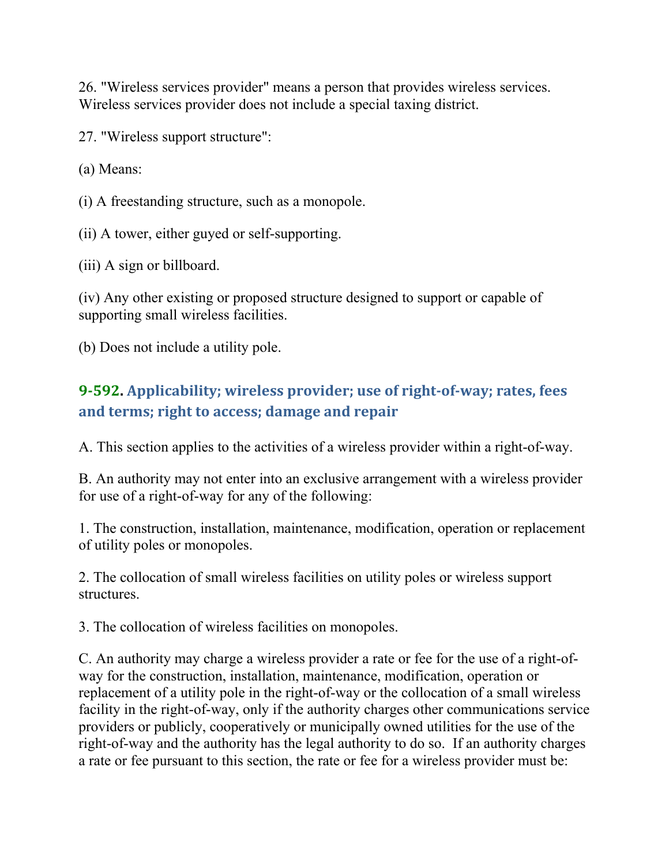26. "Wireless services provider" means a person that provides wireless services. Wireless services provider does not include a special taxing district.

27. "Wireless support structure":

(a) Means:

(i) A freestanding structure, such as a monopole.

(ii) A tower, either guyed or self-supporting.

(iii) A sign or billboard.

(iv) Any other existing or proposed structure designed to support or capable of supporting small wireless facilities.

(b) Does not include a utility pole.

## **9‐592. Applicability; wireless provider; use of right‐of‐way; rates, fees and terms; right to access; damage and repair**

A. This section applies to the activities of a wireless provider within a right-of-way.

B. An authority may not enter into an exclusive arrangement with a wireless provider for use of a right-of-way for any of the following:

1. The construction, installation, maintenance, modification, operation or replacement of utility poles or monopoles.

2. The collocation of small wireless facilities on utility poles or wireless support structures.

3. The collocation of wireless facilities on monopoles.

C. An authority may charge a wireless provider a rate or fee for the use of a right-ofway for the construction, installation, maintenance, modification, operation or replacement of a utility pole in the right-of-way or the collocation of a small wireless facility in the right-of-way, only if the authority charges other communications service providers or publicly, cooperatively or municipally owned utilities for the use of the right-of-way and the authority has the legal authority to do so. If an authority charges a rate or fee pursuant to this section, the rate or fee for a wireless provider must be: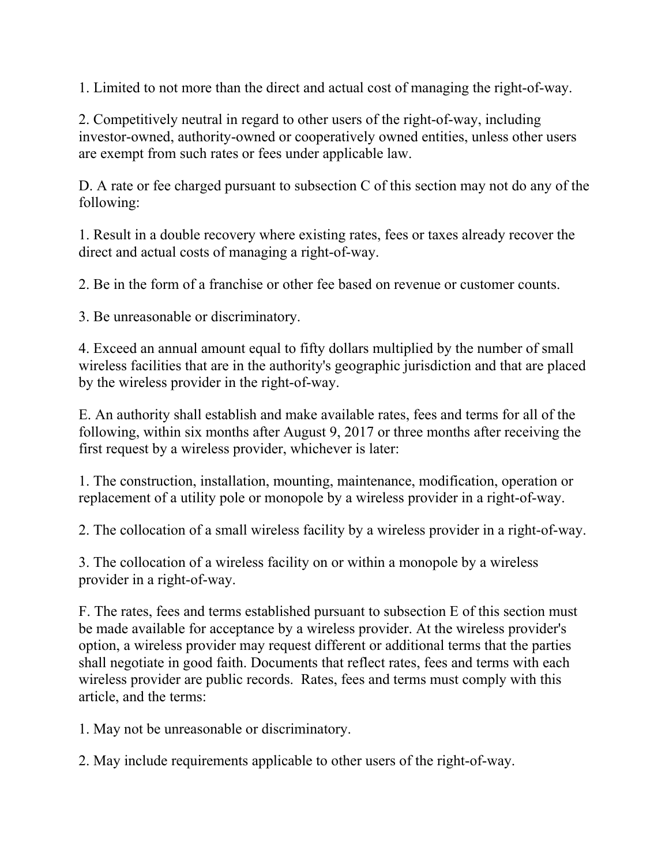1. Limited to not more than the direct and actual cost of managing the right-of-way.

2. Competitively neutral in regard to other users of the right-of-way, including investor-owned, authority-owned or cooperatively owned entities, unless other users are exempt from such rates or fees under applicable law.

D. A rate or fee charged pursuant to subsection C of this section may not do any of the following:

1. Result in a double recovery where existing rates, fees or taxes already recover the direct and actual costs of managing a right-of-way.

2. Be in the form of a franchise or other fee based on revenue or customer counts.

3. Be unreasonable or discriminatory.

4. Exceed an annual amount equal to fifty dollars multiplied by the number of small wireless facilities that are in the authority's geographic jurisdiction and that are placed by the wireless provider in the right-of-way.

E. An authority shall establish and make available rates, fees and terms for all of the following, within six months after August 9, 2017 or three months after receiving the first request by a wireless provider, whichever is later:

1. The construction, installation, mounting, maintenance, modification, operation or replacement of a utility pole or monopole by a wireless provider in a right-of-way.

2. The collocation of a small wireless facility by a wireless provider in a right-of-way.

3. The collocation of a wireless facility on or within a monopole by a wireless provider in a right-of-way.

F. The rates, fees and terms established pursuant to subsection E of this section must be made available for acceptance by a wireless provider. At the wireless provider's option, a wireless provider may request different or additional terms that the parties shall negotiate in good faith. Documents that reflect rates, fees and terms with each wireless provider are public records. Rates, fees and terms must comply with this article, and the terms:

1. May not be unreasonable or discriminatory.

2. May include requirements applicable to other users of the right-of-way.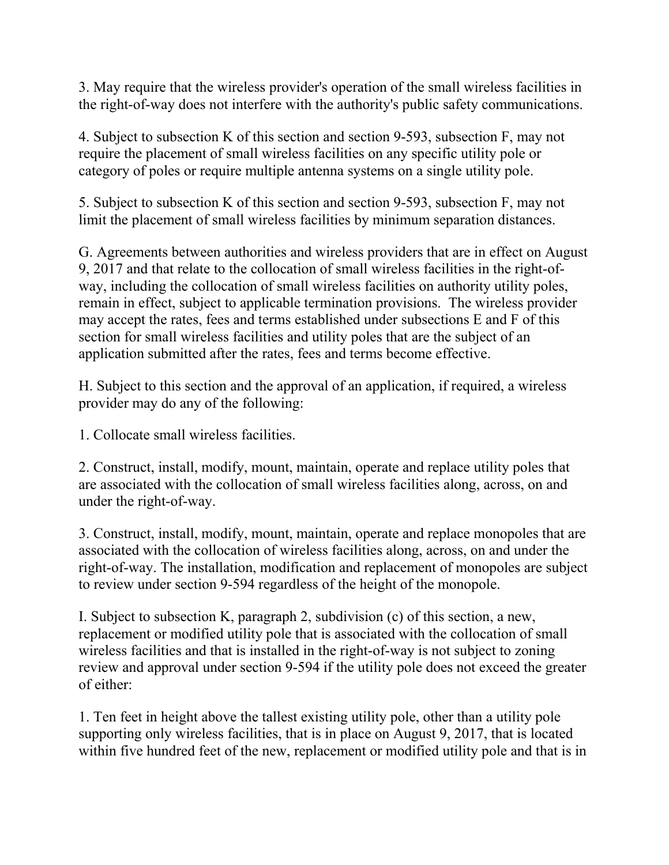3. May require that the wireless provider's operation of the small wireless facilities in the right-of-way does not interfere with the authority's public safety communications.

4. Subject to subsection K of this section and section 9-593, subsection F, may not require the placement of small wireless facilities on any specific utility pole or category of poles or require multiple antenna systems on a single utility pole.

5. Subject to subsection K of this section and section 9-593, subsection F, may not limit the placement of small wireless facilities by minimum separation distances.

G. Agreements between authorities and wireless providers that are in effect on August 9, 2017 and that relate to the collocation of small wireless facilities in the right-ofway, including the collocation of small wireless facilities on authority utility poles, remain in effect, subject to applicable termination provisions. The wireless provider may accept the rates, fees and terms established under subsections E and F of this section for small wireless facilities and utility poles that are the subject of an application submitted after the rates, fees and terms become effective.

H. Subject to this section and the approval of an application, if required, a wireless provider may do any of the following:

1. Collocate small wireless facilities.

2. Construct, install, modify, mount, maintain, operate and replace utility poles that are associated with the collocation of small wireless facilities along, across, on and under the right-of-way.

3. Construct, install, modify, mount, maintain, operate and replace monopoles that are associated with the collocation of wireless facilities along, across, on and under the right-of-way. The installation, modification and replacement of monopoles are subject to review under section 9-594 regardless of the height of the monopole.

I. Subject to subsection K, paragraph 2, subdivision (c) of this section, a new, replacement or modified utility pole that is associated with the collocation of small wireless facilities and that is installed in the right-of-way is not subject to zoning review and approval under section 9-594 if the utility pole does not exceed the greater of either:

1. Ten feet in height above the tallest existing utility pole, other than a utility pole supporting only wireless facilities, that is in place on August 9, 2017, that is located within five hundred feet of the new, replacement or modified utility pole and that is in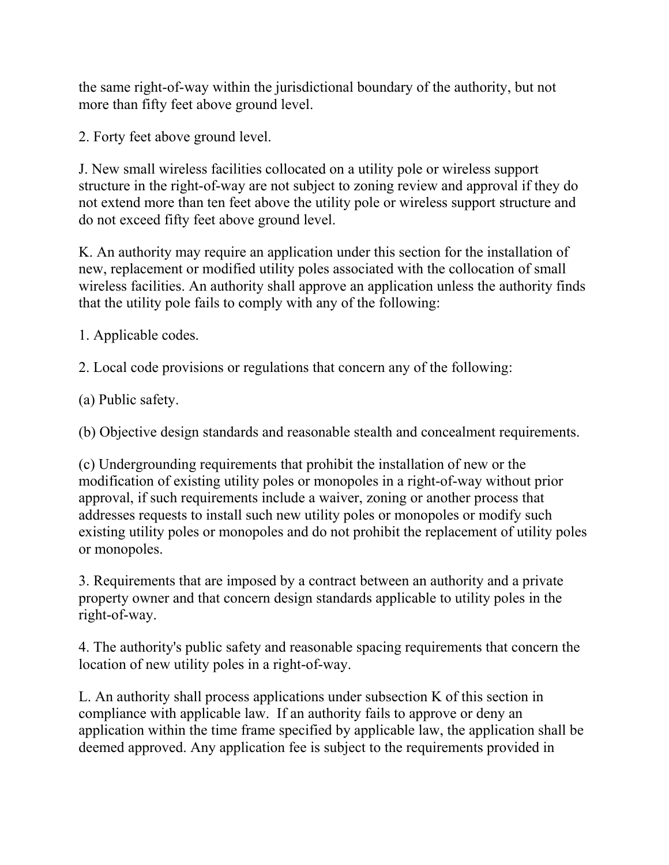the same right-of-way within the jurisdictional boundary of the authority, but not more than fifty feet above ground level.

2. Forty feet above ground level.

J. New small wireless facilities collocated on a utility pole or wireless support structure in the right-of-way are not subject to zoning review and approval if they do not extend more than ten feet above the utility pole or wireless support structure and do not exceed fifty feet above ground level.

K. An authority may require an application under this section for the installation of new, replacement or modified utility poles associated with the collocation of small wireless facilities. An authority shall approve an application unless the authority finds that the utility pole fails to comply with any of the following:

1. Applicable codes.

2. Local code provisions or regulations that concern any of the following:

(a) Public safety.

(b) Objective design standards and reasonable stealth and concealment requirements.

(c) Undergrounding requirements that prohibit the installation of new or the modification of existing utility poles or monopoles in a right-of-way without prior approval, if such requirements include a waiver, zoning or another process that addresses requests to install such new utility poles or monopoles or modify such existing utility poles or monopoles and do not prohibit the replacement of utility poles or monopoles.

3. Requirements that are imposed by a contract between an authority and a private property owner and that concern design standards applicable to utility poles in the right-of-way.

4. The authority's public safety and reasonable spacing requirements that concern the location of new utility poles in a right-of-way.

L. An authority shall process applications under subsection K of this section in compliance with applicable law. If an authority fails to approve or deny an application within the time frame specified by applicable law, the application shall be deemed approved. Any application fee is subject to the requirements provided in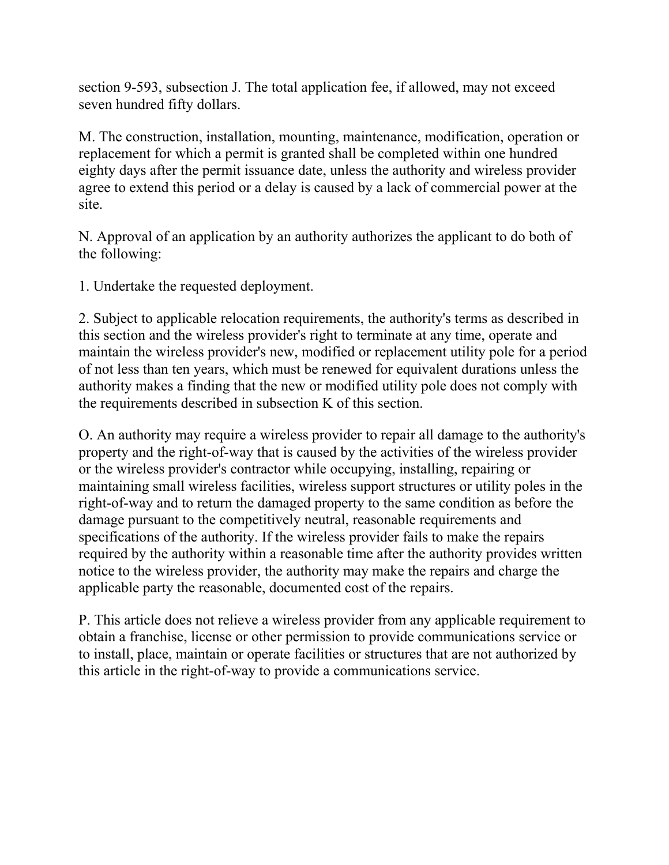section 9-593, subsection J. The total application fee, if allowed, may not exceed seven hundred fifty dollars.

M. The construction, installation, mounting, maintenance, modification, operation or replacement for which a permit is granted shall be completed within one hundred eighty days after the permit issuance date, unless the authority and wireless provider agree to extend this period or a delay is caused by a lack of commercial power at the site.

N. Approval of an application by an authority authorizes the applicant to do both of the following:

1. Undertake the requested deployment.

2. Subject to applicable relocation requirements, the authority's terms as described in this section and the wireless provider's right to terminate at any time, operate and maintain the wireless provider's new, modified or replacement utility pole for a period of not less than ten years, which must be renewed for equivalent durations unless the authority makes a finding that the new or modified utility pole does not comply with the requirements described in subsection K of this section.

O. An authority may require a wireless provider to repair all damage to the authority's property and the right-of-way that is caused by the activities of the wireless provider or the wireless provider's contractor while occupying, installing, repairing or maintaining small wireless facilities, wireless support structures or utility poles in the right-of-way and to return the damaged property to the same condition as before the damage pursuant to the competitively neutral, reasonable requirements and specifications of the authority. If the wireless provider fails to make the repairs required by the authority within a reasonable time after the authority provides written notice to the wireless provider, the authority may make the repairs and charge the applicable party the reasonable, documented cost of the repairs.

P. This article does not relieve a wireless provider from any applicable requirement to obtain a franchise, license or other permission to provide communications service or to install, place, maintain or operate facilities or structures that are not authorized by this article in the right-of-way to provide a communications service.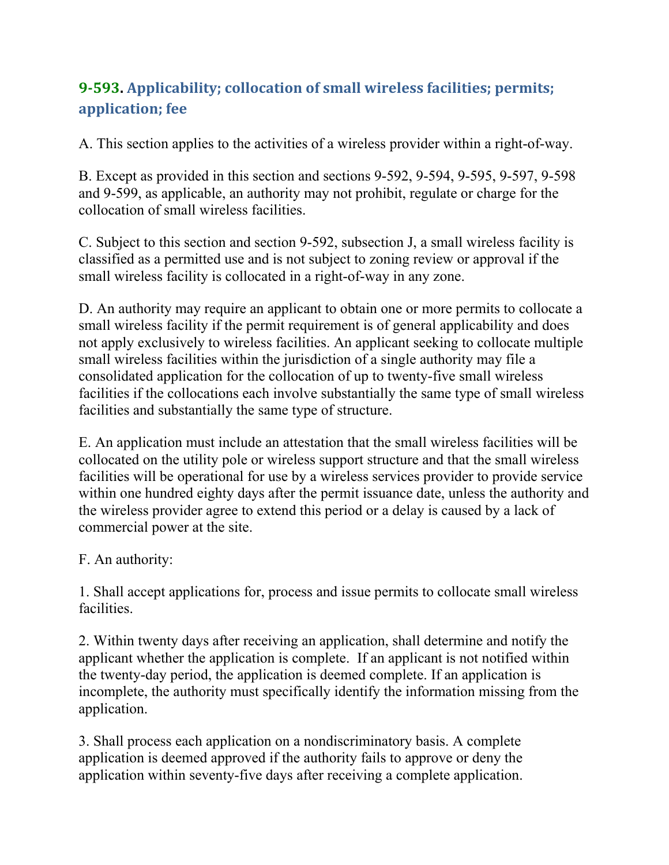# **9‐593. Applicability; collocation of small wireless facilities; permits; application; fee**

A. This section applies to the activities of a wireless provider within a right-of-way.

B. Except as provided in this section and sections 9-592, 9-594, 9-595, 9-597, 9-598 and 9-599, as applicable, an authority may not prohibit, regulate or charge for the collocation of small wireless facilities.

C. Subject to this section and section 9-592, subsection J, a small wireless facility is classified as a permitted use and is not subject to zoning review or approval if the small wireless facility is collocated in a right-of-way in any zone.

D. An authority may require an applicant to obtain one or more permits to collocate a small wireless facility if the permit requirement is of general applicability and does not apply exclusively to wireless facilities. An applicant seeking to collocate multiple small wireless facilities within the jurisdiction of a single authority may file a consolidated application for the collocation of up to twenty-five small wireless facilities if the collocations each involve substantially the same type of small wireless facilities and substantially the same type of structure.

E. An application must include an attestation that the small wireless facilities will be collocated on the utility pole or wireless support structure and that the small wireless facilities will be operational for use by a wireless services provider to provide service within one hundred eighty days after the permit issuance date, unless the authority and the wireless provider agree to extend this period or a delay is caused by a lack of commercial power at the site.

F. An authority:

1. Shall accept applications for, process and issue permits to collocate small wireless facilities.

2. Within twenty days after receiving an application, shall determine and notify the applicant whether the application is complete. If an applicant is not notified within the twenty-day period, the application is deemed complete. If an application is incomplete, the authority must specifically identify the information missing from the application.

3. Shall process each application on a nondiscriminatory basis. A complete application is deemed approved if the authority fails to approve or deny the application within seventy-five days after receiving a complete application.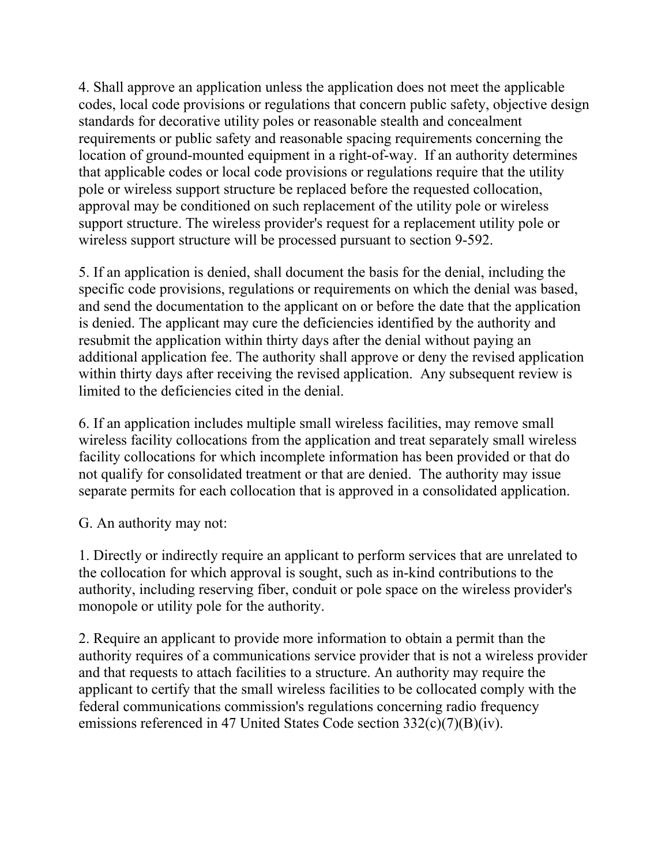4. Shall approve an application unless the application does not meet the applicable codes, local code provisions or regulations that concern public safety, objective design standards for decorative utility poles or reasonable stealth and concealment requirements or public safety and reasonable spacing requirements concerning the location of ground-mounted equipment in a right-of-way. If an authority determines that applicable codes or local code provisions or regulations require that the utility pole or wireless support structure be replaced before the requested collocation, approval may be conditioned on such replacement of the utility pole or wireless support structure. The wireless provider's request for a replacement utility pole or wireless support structure will be processed pursuant to section 9-592.

5. If an application is denied, shall document the basis for the denial, including the specific code provisions, regulations or requirements on which the denial was based, and send the documentation to the applicant on or before the date that the application is denied. The applicant may cure the deficiencies identified by the authority and resubmit the application within thirty days after the denial without paying an additional application fee. The authority shall approve or deny the revised application within thirty days after receiving the revised application. Any subsequent review is limited to the deficiencies cited in the denial.

6. If an application includes multiple small wireless facilities, may remove small wireless facility collocations from the application and treat separately small wireless facility collocations for which incomplete information has been provided or that do not qualify for consolidated treatment or that are denied. The authority may issue separate permits for each collocation that is approved in a consolidated application.

G. An authority may not:

1. Directly or indirectly require an applicant to perform services that are unrelated to the collocation for which approval is sought, such as in-kind contributions to the authority, including reserving fiber, conduit or pole space on the wireless provider's monopole or utility pole for the authority.

2. Require an applicant to provide more information to obtain a permit than the authority requires of a communications service provider that is not a wireless provider and that requests to attach facilities to a structure. An authority may require the applicant to certify that the small wireless facilities to be collocated comply with the federal communications commission's regulations concerning radio frequency emissions referenced in 47 United States Code section 332(c)(7)(B)(iv).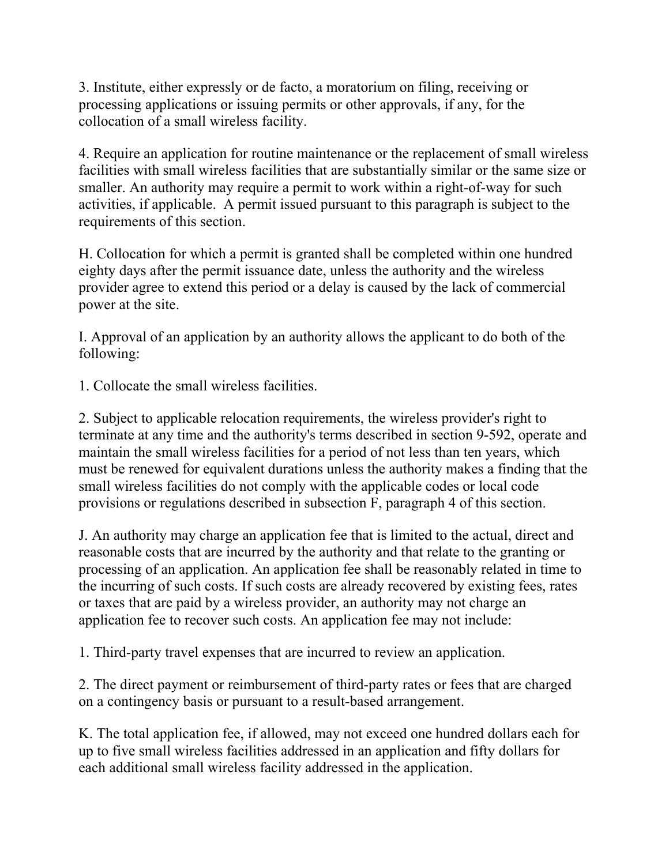3. Institute, either expressly or de facto, a moratorium on filing, receiving or processing applications or issuing permits or other approvals, if any, for the collocation of a small wireless facility.

4. Require an application for routine maintenance or the replacement of small wireless facilities with small wireless facilities that are substantially similar or the same size or smaller. An authority may require a permit to work within a right-of-way for such activities, if applicable. A permit issued pursuant to this paragraph is subject to the requirements of this section.

H. Collocation for which a permit is granted shall be completed within one hundred eighty days after the permit issuance date, unless the authority and the wireless provider agree to extend this period or a delay is caused by the lack of commercial power at the site.

I. Approval of an application by an authority allows the applicant to do both of the following:

1. Collocate the small wireless facilities.

2. Subject to applicable relocation requirements, the wireless provider's right to terminate at any time and the authority's terms described in section 9-592, operate and maintain the small wireless facilities for a period of not less than ten years, which must be renewed for equivalent durations unless the authority makes a finding that the small wireless facilities do not comply with the applicable codes or local code provisions or regulations described in subsection F, paragraph 4 of this section.

J. An authority may charge an application fee that is limited to the actual, direct and reasonable costs that are incurred by the authority and that relate to the granting or processing of an application. An application fee shall be reasonably related in time to the incurring of such costs. If such costs are already recovered by existing fees, rates or taxes that are paid by a wireless provider, an authority may not charge an application fee to recover such costs. An application fee may not include:

1. Third-party travel expenses that are incurred to review an application.

2. The direct payment or reimbursement of third-party rates or fees that are charged on a contingency basis or pursuant to a result-based arrangement.

K. The total application fee, if allowed, may not exceed one hundred dollars each for up to five small wireless facilities addressed in an application and fifty dollars for each additional small wireless facility addressed in the application.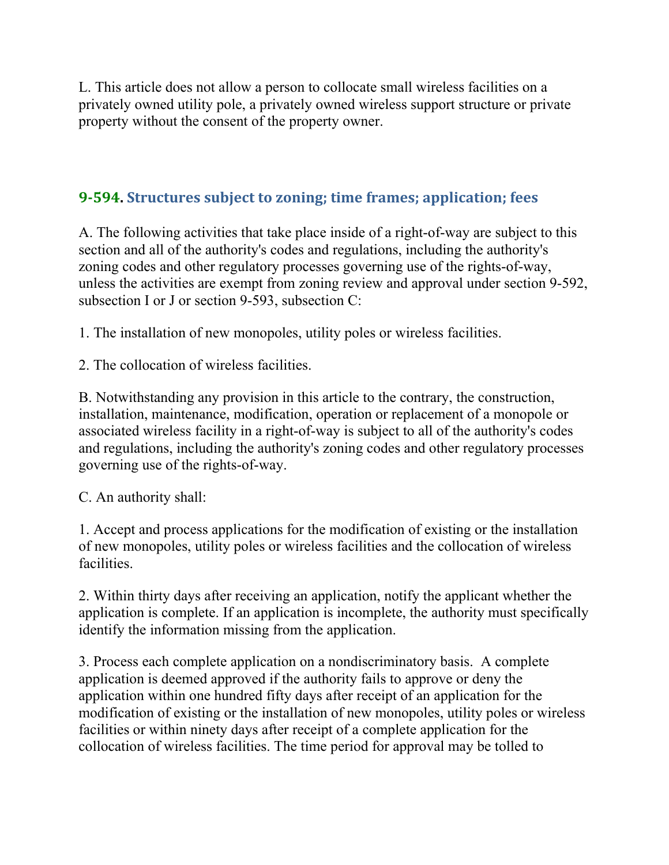L. This article does not allow a person to collocate small wireless facilities on a privately owned utility pole, a privately owned wireless support structure or private property without the consent of the property owner.

#### **9‐594. Structures subject to zoning; time frames; application; fees**

A. The following activities that take place inside of a right-of-way are subject to this section and all of the authority's codes and regulations, including the authority's zoning codes and other regulatory processes governing use of the rights-of-way, unless the activities are exempt from zoning review and approval under section 9-592, subsection I or J or section 9-593, subsection C:

1. The installation of new monopoles, utility poles or wireless facilities.

2. The collocation of wireless facilities.

B. Notwithstanding any provision in this article to the contrary, the construction, installation, maintenance, modification, operation or replacement of a monopole or associated wireless facility in a right-of-way is subject to all of the authority's codes and regulations, including the authority's zoning codes and other regulatory processes governing use of the rights-of-way.

C. An authority shall:

1. Accept and process applications for the modification of existing or the installation of new monopoles, utility poles or wireless facilities and the collocation of wireless facilities.

2. Within thirty days after receiving an application, notify the applicant whether the application is complete. If an application is incomplete, the authority must specifically identify the information missing from the application.

3. Process each complete application on a nondiscriminatory basis. A complete application is deemed approved if the authority fails to approve or deny the application within one hundred fifty days after receipt of an application for the modification of existing or the installation of new monopoles, utility poles or wireless facilities or within ninety days after receipt of a complete application for the collocation of wireless facilities. The time period for approval may be tolled to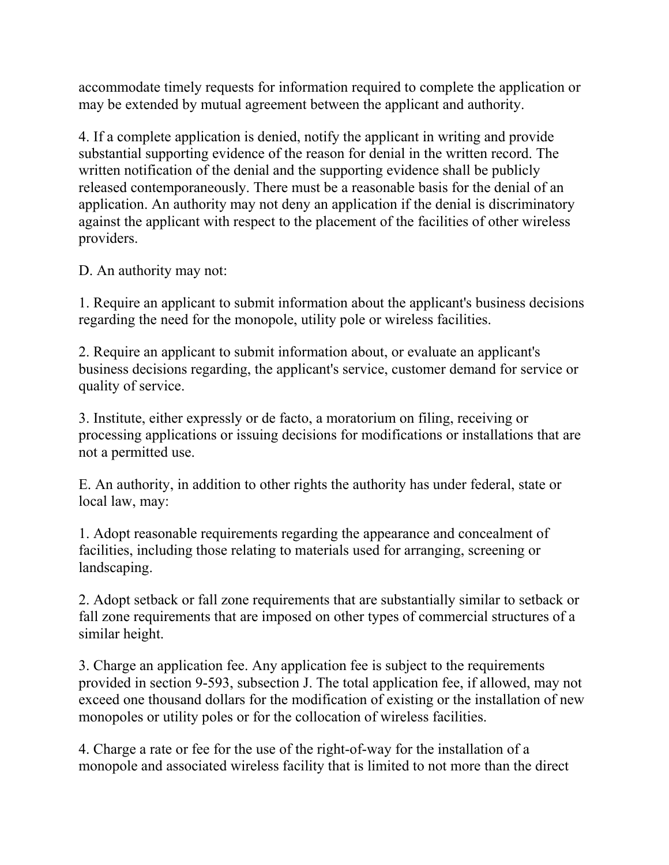accommodate timely requests for information required to complete the application or may be extended by mutual agreement between the applicant and authority.

4. If a complete application is denied, notify the applicant in writing and provide substantial supporting evidence of the reason for denial in the written record. The written notification of the denial and the supporting evidence shall be publicly released contemporaneously. There must be a reasonable basis for the denial of an application. An authority may not deny an application if the denial is discriminatory against the applicant with respect to the placement of the facilities of other wireless providers.

D. An authority may not:

1. Require an applicant to submit information about the applicant's business decisions regarding the need for the monopole, utility pole or wireless facilities.

2. Require an applicant to submit information about, or evaluate an applicant's business decisions regarding, the applicant's service, customer demand for service or quality of service.

3. Institute, either expressly or de facto, a moratorium on filing, receiving or processing applications or issuing decisions for modifications or installations that are not a permitted use.

E. An authority, in addition to other rights the authority has under federal, state or local law, may:

1. Adopt reasonable requirements regarding the appearance and concealment of facilities, including those relating to materials used for arranging, screening or landscaping.

2. Adopt setback or fall zone requirements that are substantially similar to setback or fall zone requirements that are imposed on other types of commercial structures of a similar height.

3. Charge an application fee. Any application fee is subject to the requirements provided in section 9-593, subsection J. The total application fee, if allowed, may not exceed one thousand dollars for the modification of existing or the installation of new monopoles or utility poles or for the collocation of wireless facilities.

4. Charge a rate or fee for the use of the right-of-way for the installation of a monopole and associated wireless facility that is limited to not more than the direct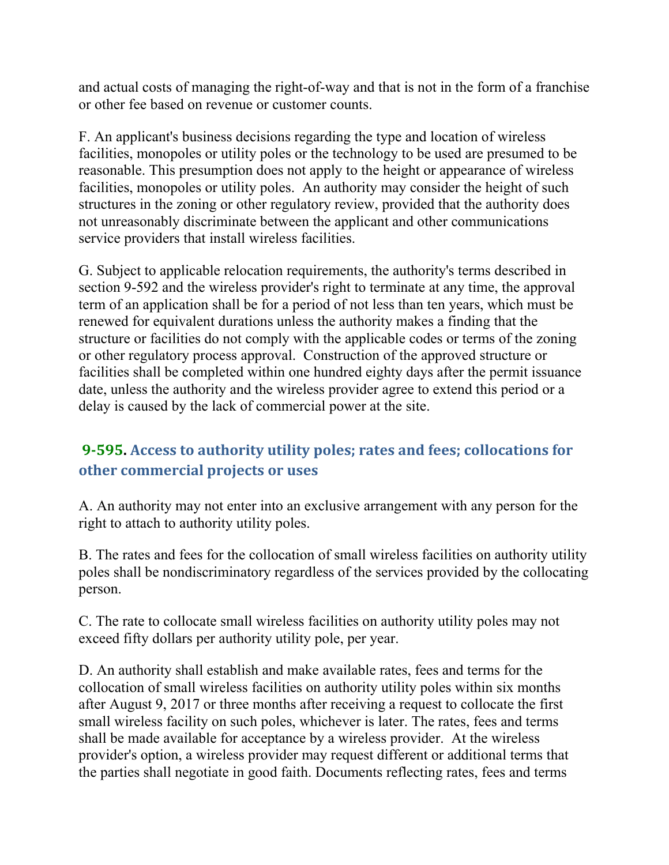and actual costs of managing the right-of-way and that is not in the form of a franchise or other fee based on revenue or customer counts.

F. An applicant's business decisions regarding the type and location of wireless facilities, monopoles or utility poles or the technology to be used are presumed to be reasonable. This presumption does not apply to the height or appearance of wireless facilities, monopoles or utility poles. An authority may consider the height of such structures in the zoning or other regulatory review, provided that the authority does not unreasonably discriminate between the applicant and other communications service providers that install wireless facilities.

G. Subject to applicable relocation requirements, the authority's terms described in section 9-592 and the wireless provider's right to terminate at any time, the approval term of an application shall be for a period of not less than ten years, which must be renewed for equivalent durations unless the authority makes a finding that the structure or facilities do not comply with the applicable codes or terms of the zoning or other regulatory process approval. Construction of the approved structure or facilities shall be completed within one hundred eighty days after the permit issuance date, unless the authority and the wireless provider agree to extend this period or a delay is caused by the lack of commercial power at the site.

## **9‐595. Access to authority utility poles; rates and fees; collocations for other commercial projects or uses**

A. An authority may not enter into an exclusive arrangement with any person for the right to attach to authority utility poles.

B. The rates and fees for the collocation of small wireless facilities on authority utility poles shall be nondiscriminatory regardless of the services provided by the collocating person.

C. The rate to collocate small wireless facilities on authority utility poles may not exceed fifty dollars per authority utility pole, per year.

D. An authority shall establish and make available rates, fees and terms for the collocation of small wireless facilities on authority utility poles within six months after August 9, 2017 or three months after receiving a request to collocate the first small wireless facility on such poles, whichever is later. The rates, fees and terms shall be made available for acceptance by a wireless provider. At the wireless provider's option, a wireless provider may request different or additional terms that the parties shall negotiate in good faith. Documents reflecting rates, fees and terms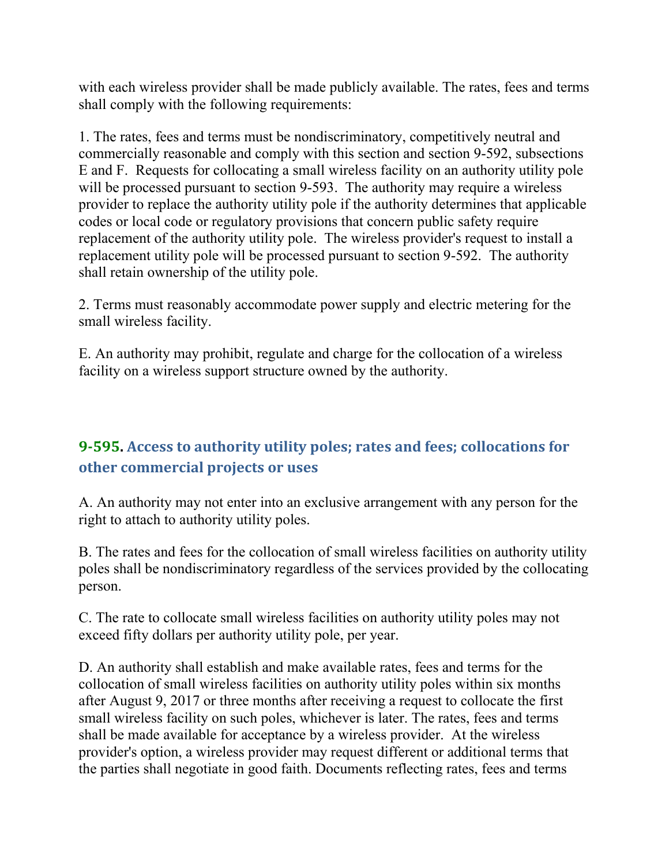with each wireless provider shall be made publicly available. The rates, fees and terms shall comply with the following requirements:

1. The rates, fees and terms must be nondiscriminatory, competitively neutral and commercially reasonable and comply with this section and section 9-592, subsections E and F. Requests for collocating a small wireless facility on an authority utility pole will be processed pursuant to section 9-593. The authority may require a wireless provider to replace the authority utility pole if the authority determines that applicable codes or local code or regulatory provisions that concern public safety require replacement of the authority utility pole. The wireless provider's request to install a replacement utility pole will be processed pursuant to section 9-592. The authority shall retain ownership of the utility pole.

2. Terms must reasonably accommodate power supply and electric metering for the small wireless facility.

E. An authority may prohibit, regulate and charge for the collocation of a wireless facility on a wireless support structure owned by the authority.

## **9‐595. Access to authority utility poles; rates and fees; collocations for other commercial projects or uses**

A. An authority may not enter into an exclusive arrangement with any person for the right to attach to authority utility poles.

B. The rates and fees for the collocation of small wireless facilities on authority utility poles shall be nondiscriminatory regardless of the services provided by the collocating person.

C. The rate to collocate small wireless facilities on authority utility poles may not exceed fifty dollars per authority utility pole, per year.

D. An authority shall establish and make available rates, fees and terms for the collocation of small wireless facilities on authority utility poles within six months after August 9, 2017 or three months after receiving a request to collocate the first small wireless facility on such poles, whichever is later. The rates, fees and terms shall be made available for acceptance by a wireless provider. At the wireless provider's option, a wireless provider may request different or additional terms that the parties shall negotiate in good faith. Documents reflecting rates, fees and terms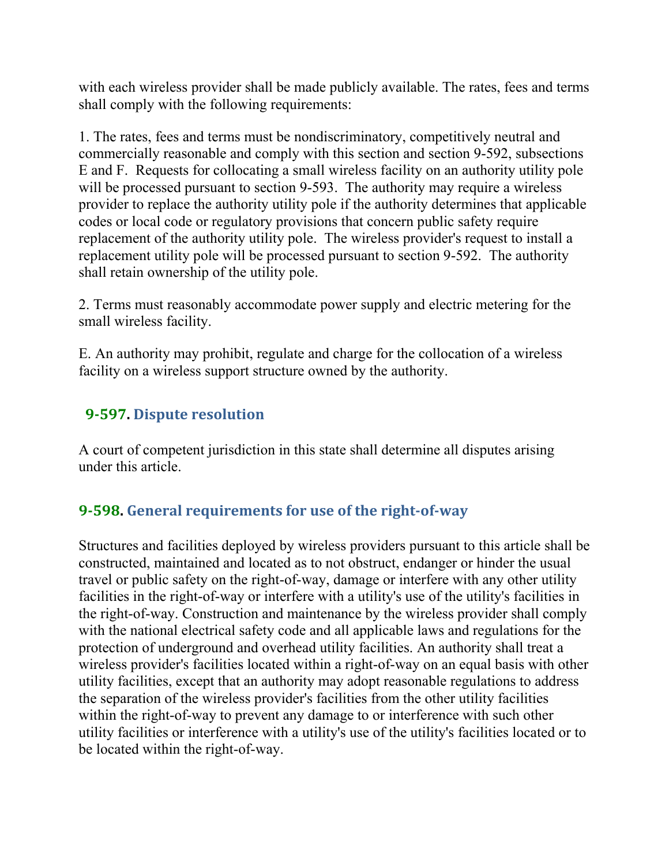with each wireless provider shall be made publicly available. The rates, fees and terms shall comply with the following requirements:

1. The rates, fees and terms must be nondiscriminatory, competitively neutral and commercially reasonable and comply with this section and section 9-592, subsections E and F. Requests for collocating a small wireless facility on an authority utility pole will be processed pursuant to section 9-593. The authority may require a wireless provider to replace the authority utility pole if the authority determines that applicable codes or local code or regulatory provisions that concern public safety require replacement of the authority utility pole. The wireless provider's request to install a replacement utility pole will be processed pursuant to section 9-592. The authority shall retain ownership of the utility pole.

2. Terms must reasonably accommodate power supply and electric metering for the small wireless facility.

E. An authority may prohibit, regulate and charge for the collocation of a wireless facility on a wireless support structure owned by the authority.

#### **9‐597. Dispute resolution**

A court of competent jurisdiction in this state shall determine all disputes arising under this article.

#### **9‐598. General requirements for use of the right‐of‐way**

Structures and facilities deployed by wireless providers pursuant to this article shall be constructed, maintained and located as to not obstruct, endanger or hinder the usual travel or public safety on the right-of-way, damage or interfere with any other utility facilities in the right-of-way or interfere with a utility's use of the utility's facilities in the right-of-way. Construction and maintenance by the wireless provider shall comply with the national electrical safety code and all applicable laws and regulations for the protection of underground and overhead utility facilities. An authority shall treat a wireless provider's facilities located within a right-of-way on an equal basis with other utility facilities, except that an authority may adopt reasonable regulations to address the separation of the wireless provider's facilities from the other utility facilities within the right-of-way to prevent any damage to or interference with such other utility facilities or interference with a utility's use of the utility's facilities located or to be located within the right-of-way.